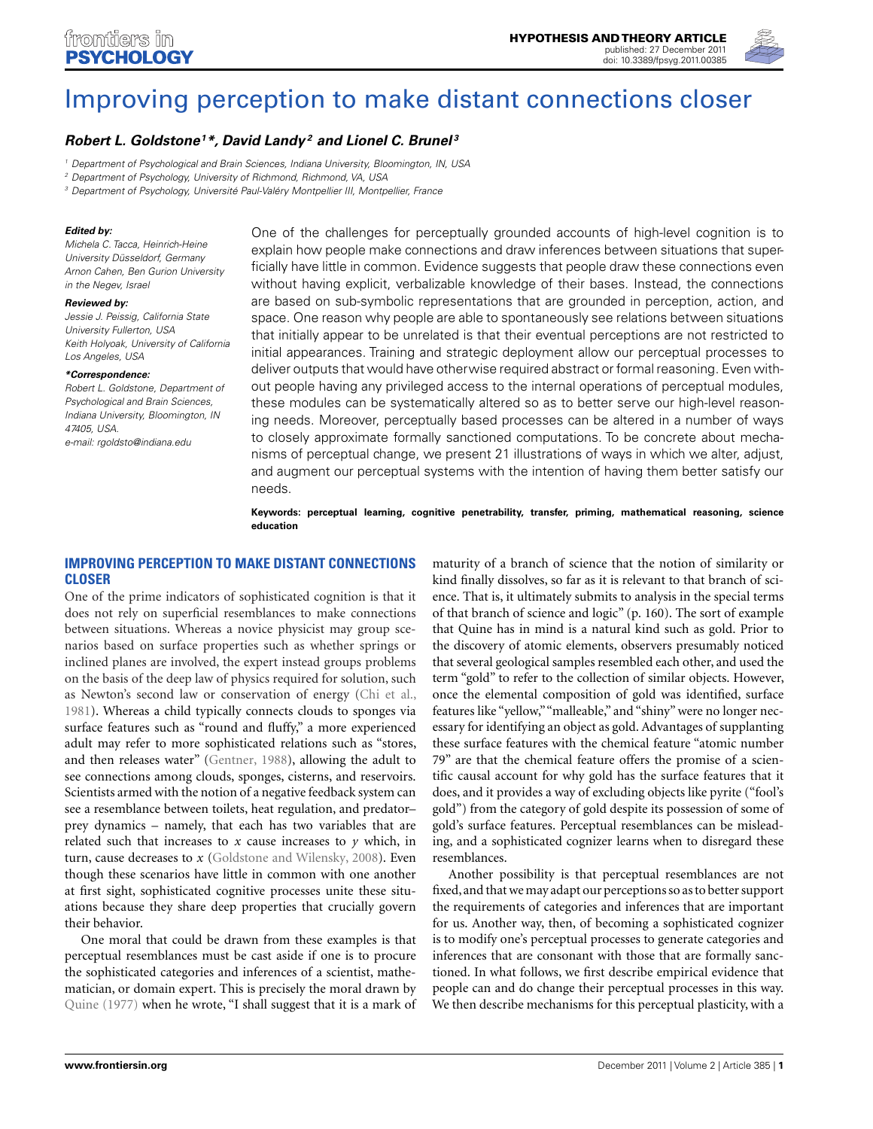

# [Improving perception to make distant connections closer](http://www.frontiersin.org/Perception_Science/10.3389/fpsyg.2011.00385/abstract)

# *[Robert L. Goldstone1](http://www.frontiersin.org/Community/WhosWhoDetails.aspx?UID=19550&d=0&sname=Rob_Goldstone&name=all people)\*, David Landy <sup>2</sup> and Lionel C. Brunel <sup>3</sup>*

<sup>1</sup> Department of Psychological and Brain Sciences, Indiana University, Bloomington, IN, USA

<sup>2</sup> Department of Psychology, University of Richmond, Richmond, VA, USA

<sup>3</sup> Department of Psychology, Université Paul-Valéry Montpellier III, Montpellier, France

#### *Edited by:*

Michela C. Tacca, Heinrich-Heine University Düsseldorf, Germany Arnon Cahen, Ben Gurion University in the Negev, Israel

#### *Reviewed by:*

Jessie J. Peissig, California State University Fullerton, USA Keith Holyoak, University of California Los Angeles, USA

#### *\*Correspondence:*

Robert L. Goldstone, Department of Psychological and Brain Sciences, Indiana University, Bloomington, IN 47405, USA. e-mail: [rgoldsto@indiana.edu](mailto:rgoldsto@indiana.edu)

One of the challenges for perceptually grounded accounts of high-level cognition is to explain how people make connections and draw inferences between situations that superficially have little in common. Evidence suggests that people draw these connections even without having explicit, verbalizable knowledge of their bases. Instead, the connections are based on sub-symbolic representations that are grounded in perception, action, and space. One reason why people are able to spontaneously see relations between situations that initially appear to be unrelated is that their eventual perceptions are not restricted to initial appearances. Training and strategic deployment allow our perceptual processes to deliver outputs that would have otherwise required abstract or formal reasoning. Even without people having any privileged access to the internal operations of perceptual modules, these modules can be systematically altered so as to better serve our high-level reasoning needs. Moreover, perceptually based processes can be altered in a number of ways to closely approximate formally sanctioned computations. To be concrete about mechanisms of perceptual change, we present 21 illustrations of ways in which we alter, adjust, and augment our perceptual systems with the intention of having them better satisfy our needs.

**Keywords: perceptual learning, cognitive penetrability, transfer, priming, mathematical reasoning, science education**

## **IMPROVING PERCEPTION TO MAKE DISTANT CONNECTIONS CLOSER**

One of the prime indicators of sophisticated cognition is that it does not rely on superficial resemblances to make connections between situations. Whereas a novice physicist may group scenarios based on surface properties such as whether springs or inclined planes are involved, the expert instead groups problems on the basis of the deep law of physics required for solution, such as Newton's second law or conservation of energy [\(Chi et al.,](#page-8-0) [1981\)](#page-8-0). Whereas a child typically connects clouds to sponges via surface features such as "round and fluffy," a more experienced adult may refer to more sophisticated relations such as "stores, and then releases water" [\(Gentner, 1988](#page-8-0)), allowing the adult to see connections among clouds, sponges, cisterns, and reservoirs. Scientists armed with the notion of a negative feedback system can see a resemblance between toilets, heat regulation, and predator– prey dynamics – namely, that each has two variables that are related such that increases to  $x$  cause increases to  $y$  which, in turn, cause decreases to *x* [\(Goldstone and Wilensky](#page-8-0), [2008](#page-8-0)). Even though these scenarios have little in common with one another at first sight, sophisticated cognitive processes unite these situations because they share deep properties that crucially govern their behavior.

One moral that could be drawn from these examples is that perceptual resemblances must be cast aside if one is to procure the sophisticated categories and inferences of a scientist, mathematician, or domain expert. This is precisely the moral drawn by [Quine](#page-9-0) [\(1977\)](#page-9-0) when he wrote, "I shall suggest that it is a mark of

maturity of a branch of science that the notion of similarity or kind finally dissolves, so far as it is relevant to that branch of science. That is, it ultimately submits to analysis in the special terms of that branch of science and logic" (p. 160). The sort of example that Quine has in mind is a natural kind such as gold. Prior to the discovery of atomic elements, observers presumably noticed that several geological samples resembled each other, and used the term "gold" to refer to the collection of similar objects. However, once the elemental composition of gold was identified, surface features like "yellow,""malleable," and "shiny" were no longer necessary for identifying an object as gold. Advantages of supplanting these surface features with the chemical feature "atomic number 79" are that the chemical feature offers the promise of a scientific causal account for why gold has the surface features that it does, and it provides a way of excluding objects like pyrite ("fool's gold") from the category of gold despite its possession of some of gold's surface features. Perceptual resemblances can be misleading, and a sophisticated cognizer learns when to disregard these resemblances.

Another possibility is that perceptual resemblances are not fixed, and that we may adapt our perceptions so as to better support the requirements of categories and inferences that are important for us. Another way, then, of becoming a sophisticated cognizer is to modify one's perceptual processes to generate categories and inferences that are consonant with those that are formally sanctioned. In what follows, we first describe empirical evidence that people can and do change their perceptual processes in this way. We then describe mechanisms for this perceptual plasticity, with a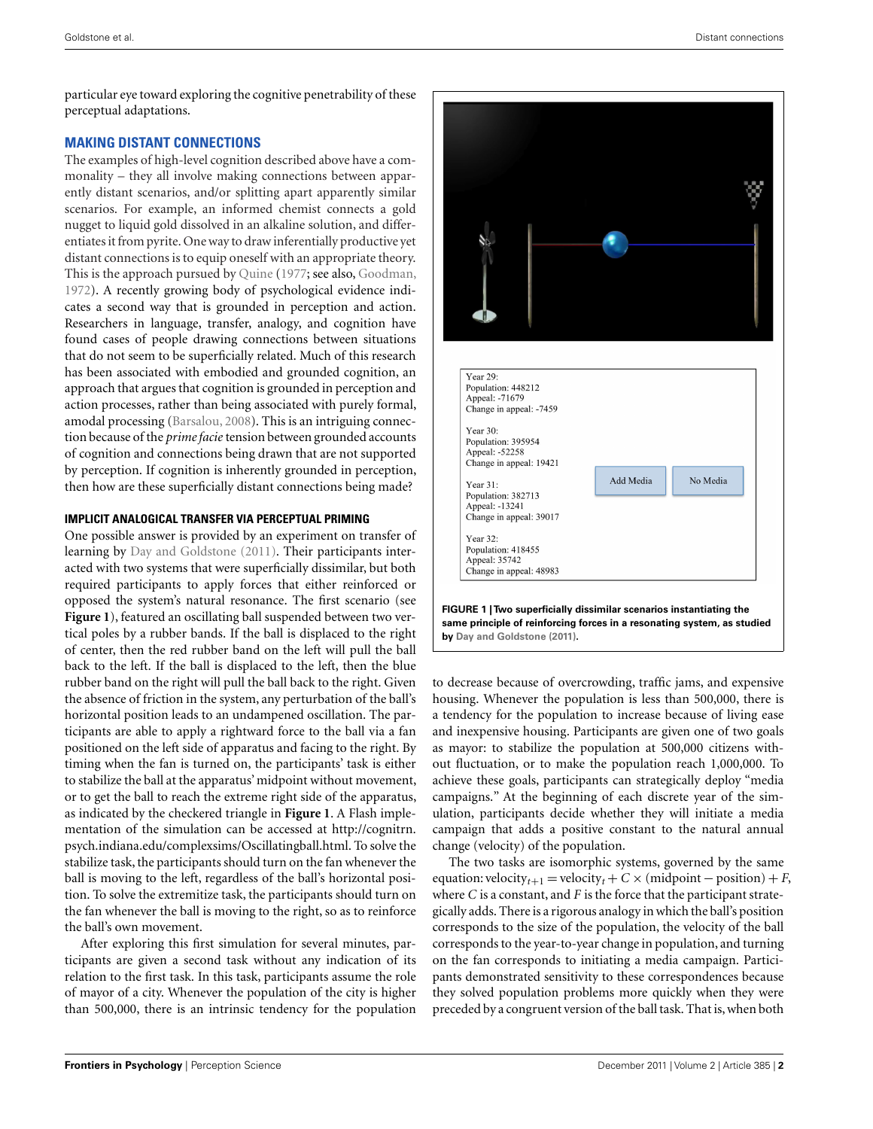particular eye toward exploring the cognitive penetrability of these perceptual adaptations.

# **MAKING DISTANT CONNECTIONS**

The examples of high-level cognition described above have a commonality – they all involve making connections between apparently distant scenarios, and/or splitting apart apparently similar scenarios. For example, an informed chemist connects a gold nugget to liquid gold dissolved in an alkaline solution, and differentiates it from pyrite. One way to draw inferentially productive yet distant connections is to equip oneself with an appropriate theory. This is the approach pursued by [Quine](#page-9-0) [\(1977](#page-9-0); see also, [Goodman,](#page-8-0) [1972\)](#page-8-0). A recently growing body of psychological evidence indicates a second way that is grounded in perception and action. Researchers in language, transfer, analogy, and cognition have found cases of people drawing connections between situations that do not seem to be superficially related. Much of this research has been associated with embodied and grounded cognition, an approach that argues that cognition is grounded in perception and action processes, rather than being associated with purely formal, amodal processing [\(Barsalou, 2008](#page-8-0)). This is an intriguing connection because of the *prime facie* tension between grounded accounts of cognition and connections being drawn that are not supported by perception. If cognition is inherently grounded in perception, then how are these superficially distant connections being made?

## **IMPLICIT ANALOGICAL TRANSFER VIA PERCEPTUAL PRIMING**

One possible answer is provided by an experiment on transfer of learning by [Day and Goldstone](#page-8-0) [\(2011](#page-8-0)). Their participants interacted with two systems that were superficially dissimilar, but both required participants to apply forces that either reinforced or opposed the system's natural resonance. The first scenario (see **Figure 1**), featured an oscillating ball suspended between two vertical poles by a rubber bands. If the ball is displaced to the right of center, then the red rubber band on the left will pull the ball back to the left. If the ball is displaced to the left, then the blue rubber band on the right will pull the ball back to the right. Given the absence of friction in the system, any perturbation of the ball's horizontal position leads to an undampened oscillation. The participants are able to apply a rightward force to the ball via a fan positioned on the left side of apparatus and facing to the right. By timing when the fan is turned on, the participants' task is either to stabilize the ball at the apparatus' midpoint without movement, or to get the ball to reach the extreme right side of the apparatus, as indicated by the checkered triangle in **Figure 1**. A Flash implementation of the simulation can be accessed at http://cognitrn. psych.indiana.edu/complexsims/Oscillatingball.html. To solve the stabilize task, the participants should turn on the fan whenever the ball is moving to the left, regardless of the ball's horizontal position. To solve the extremitize task, the participants should turn on the fan whenever the ball is moving to the right, so as to reinforce the ball's own movement.

After exploring this first simulation for several minutes, participants are given a second task without any indication of its relation to the first task. In this task, participants assume the role of mayor of a city. Whenever the population of the city is higher than 500,000, there is an intrinsic tendency for the population



to decrease because of overcrowding, traffic jams, and expensive housing. Whenever the population is less than 500,000, there is a tendency for the population to increase because of living ease and inexpensive housing. Participants are given one of two goals as mayor: to stabilize the population at 500,000 citizens without fluctuation, or to make the population reach 1,000,000. To achieve these goals, participants can strategically deploy "media campaigns." At the beginning of each discrete year of the simulation, participants decide whether they will initiate a media campaign that adds a positive constant to the natural annual change (velocity) of the population.

The two tasks are isomorphic systems, governed by the same equation: velocity<sub>t+1</sub> = velocity<sub>t</sub> + *C* × (midpoint – position) + *F*, where *C* is a constant, and *F* is the force that the participant strategically adds. There is a rigorous analogy in which the ball's position corresponds to the size of the population, the velocity of the ball corresponds to the year-to-year change in population, and turning on the fan corresponds to initiating a media campaign. Participants demonstrated sensitivity to these correspondences because they solved population problems more quickly when they were preceded by a congruent version of the ball task. That is,when both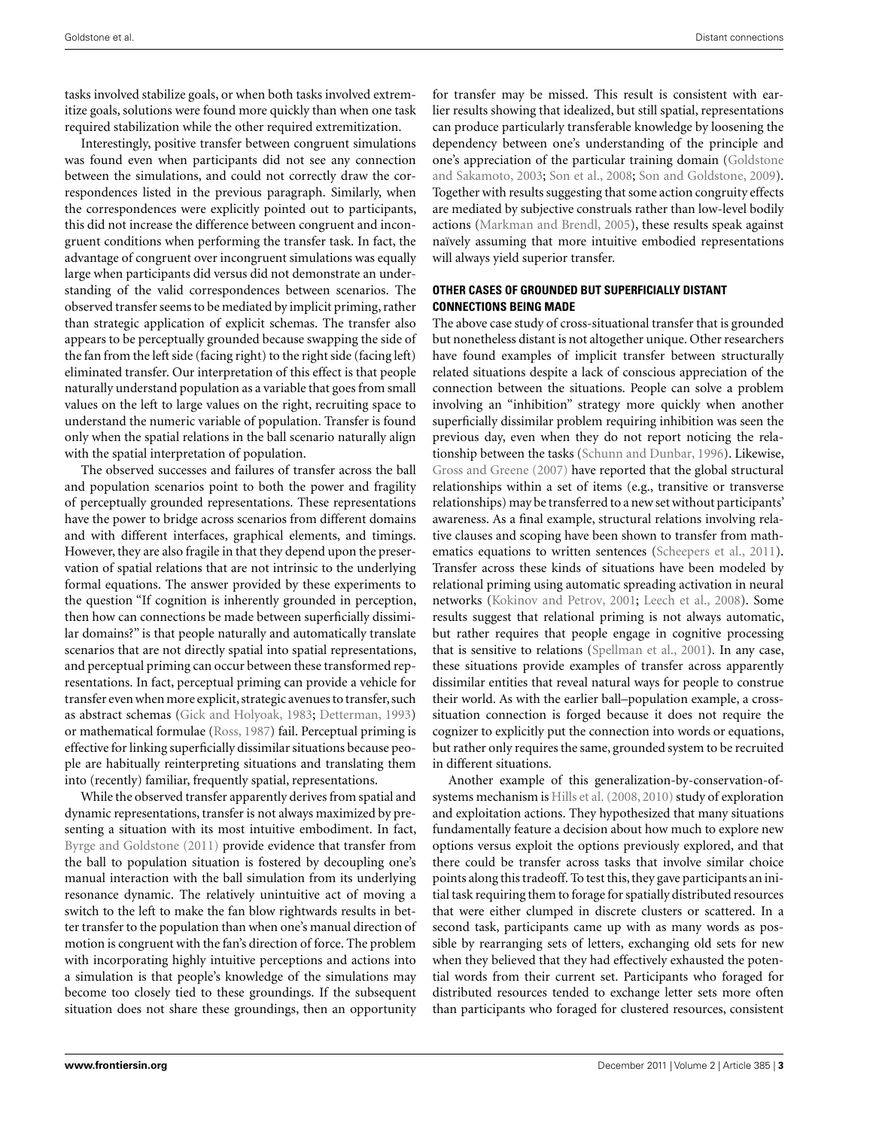tasks involved stabilize goals, or when both tasks involved extremitize goals, solutions were found more quickly than when one task required stabilization while the other required extremitization.

Interestingly, positive transfer between congruent simulations was found even when participants did not see any connection between the simulations, and could not correctly draw the correspondences listed in the previous paragraph. Similarly, when the correspondences were explicitly pointed out to participants, this did not increase the difference between congruent and incongruent conditions when performing the transfer task. In fact, the advantage of congruent over incongruent simulations was equally large when participants did versus did not demonstrate an understanding of the valid correspondences between scenarios. The observed transfer seems to be mediated by implicit priming, rather than strategic application of explicit schemas. The transfer also appears to be perceptually grounded because swapping the side of the fan from the left side (facing right) to the right side (facing left) eliminated transfer. Our interpretation of this effect is that people naturally understand population as a variable that goes from small values on the left to large values on the right, recruiting space to understand the numeric variable of population. Transfer is found only when the spatial relations in the ball scenario naturally align with the spatial interpretation of population.

The observed successes and failures of transfer across the ball and population scenarios point to both the power and fragility of perceptually grounded representations. These representations have the power to bridge across scenarios from different domains and with different interfaces, graphical elements, and timings. However, they are also fragile in that they depend upon the preservation of spatial relations that are not intrinsic to the underlying formal equations. The answer provided by these experiments to the question "If cognition is inherently grounded in perception, then how can connections be made between superficially dissimilar domains?" is that people naturally and automatically translate scenarios that are not directly spatial into spatial representations, and perceptual priming can occur between these transformed representations. In fact, perceptual priming can provide a vehicle for transfer even when more explicit, strategic avenues to transfer, such as abstract schemas [\(Gick and Holyoak](#page-8-0), [1983](#page-8-0); [Detterman](#page-8-0), [1993](#page-8-0)) or mathematical formulae [\(Ross](#page-9-0), [1987](#page-9-0)) fail. Perceptual priming is effective for linking superficially dissimilar situations because people are habitually reinterpreting situations and translating them into (recently) familiar, frequently spatial, representations.

While the observed transfer apparently derives from spatial and dynamic representations, transfer is not always maximized by presenting a situation with its most intuitive embodiment. In fact, [Byrge and Goldstone](#page-8-0) [\(2011](#page-8-0)) provide evidence that transfer from the ball to population situation is fostered by decoupling one's manual interaction with the ball simulation from its underlying resonance dynamic. The relatively unintuitive act of moving a switch to the left to make the fan blow rightwards results in better transfer to the population than when one's manual direction of motion is congruent with the fan's direction of force. The problem with incorporating highly intuitive perceptions and actions into a simulation is that people's knowledge of the simulations may become too closely tied to these groundings. If the subsequent situation does not share these groundings, then an opportunity

for transfer may be missed. This result is consistent with earlier results showing that idealized, but still spatial, representations can produce particularly transferable knowledge by loosening the dependency between one's understanding of the principle and one's apprecia[tion of the particular training domain \(](#page-8-0)Goldstone and Sakamoto, [2003;](#page-8-0) [Son et al., 2008;](#page-9-0) [Son and Goldstone](#page-9-0), [2009](#page-9-0)). Together with results suggesting that some action congruity effects are mediated by subjective construals rather than low-level bodily actions [\(Markman and Brendl](#page-9-0), [2005](#page-9-0)), these results speak against naïvely assuming that more intuitive embodied representations will always yield superior transfer.

## **OTHER CASES OF GROUNDED BUT SUPERFICIALLY DISTANT CONNECTIONS BEING MADE**

The above case study of cross-situational transfer that is grounded but nonetheless distant is not altogether unique. Other researchers have found examples of implicit transfer between structurally related situations despite a lack of conscious appreciation of the connection between the situations. People can solve a problem involving an "inhibition" strategy more quickly when another superficially dissimilar problem requiring inhibition was seen the previous day, even when they do not report noticing the relationship between the tasks [\(Schunn and Dunbar](#page-9-0), [1996\)](#page-9-0). Likewise, [Gross and Greene](#page-8-0) [\(2007](#page-8-0)) have reported that the global structural relationships within a set of items (e.g., transitive or transverse relationships) may be transferred to a new set without participants' awareness. As a final example, structural relations involving relative clauses and scoping have been shown to transfer from mathematics equations to written sentences [\(Scheepers et al.](#page-9-0), [2011](#page-9-0)). Transfer across these kinds of situations have been modeled by relational priming using automatic spreading activation in neural networks [\(Kokinov and Petrov, 2001](#page-9-0); [Leech et al.](#page-9-0), [2008\)](#page-9-0). Some results suggest that relational priming is not always automatic, but rather requires that people engage in cognitive processing that is sensitive to relations [\(Spellman et al., 2001\)](#page-9-0). In any case, these situations provide examples of transfer across apparently dissimilar entities that reveal natural ways for people to construe their world. As with the earlier ball–population example, a crosssituation connection is forged because it does not require the cognizer to explicitly put the connection into words or equations, but rather only requires the same, grounded system to be recruited in different situations.

Another example of this generalization-by-conservation-of-systems mechanism is [Hills et al.](#page-8-0) [\(2008](#page-8-0), [2010](#page-8-0)) study of exploration and exploitation actions. They hypothesized that many situations fundamentally feature a decision about how much to explore new options versus exploit the options previously explored, and that there could be transfer across tasks that involve similar choice points along this tradeoff. To test this, they gave participants an initial task requiring them to forage for spatially distributed resources that were either clumped in discrete clusters or scattered. In a second task, participants came up with as many words as possible by rearranging sets of letters, exchanging old sets for new when they believed that they had effectively exhausted the potential words from their current set. Participants who foraged for distributed resources tended to exchange letter sets more often than participants who foraged for clustered resources, consistent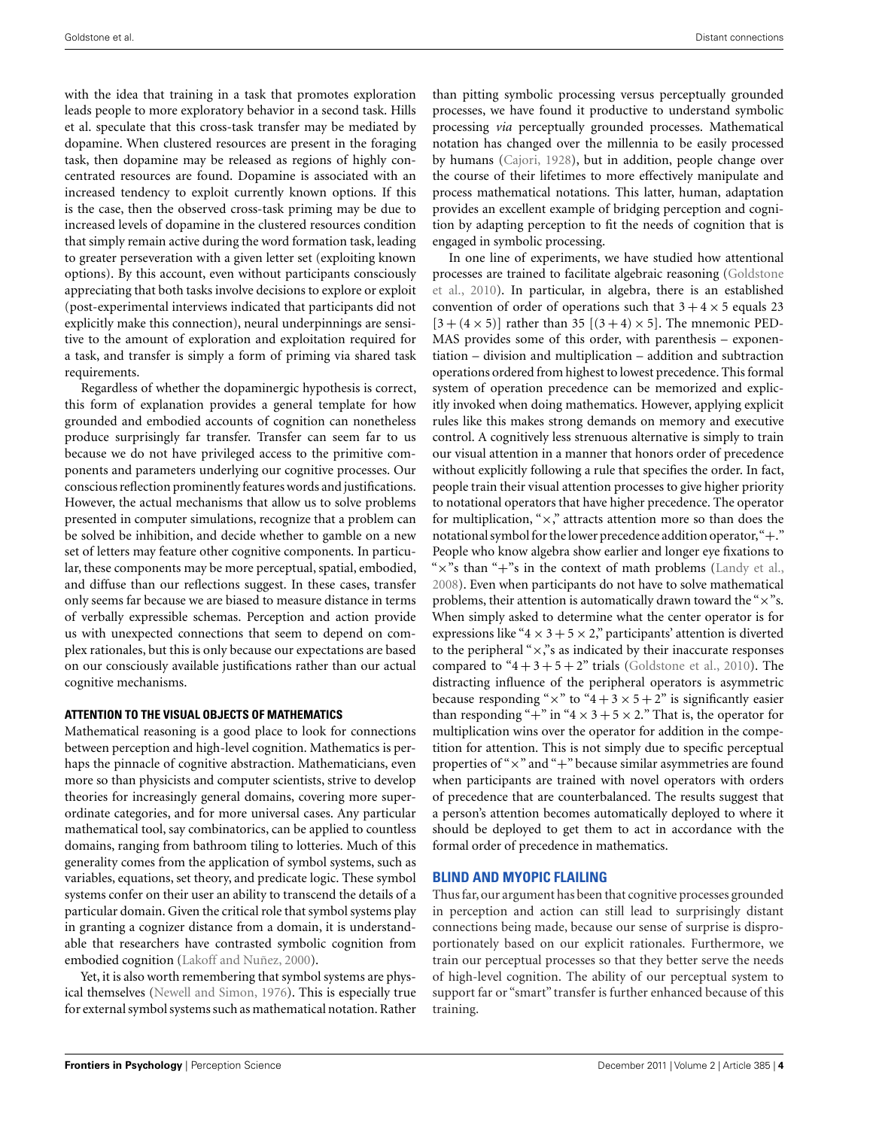with the idea that training in a task that promotes exploration leads people to more exploratory behavior in a second task. Hills et al. speculate that this cross-task transfer may be mediated by dopamine. When clustered resources are present in the foraging task, then dopamine may be released as regions of highly concentrated resources are found. Dopamine is associated with an increased tendency to exploit currently known options. If this is the case, then the observed cross-task priming may be due to increased levels of dopamine in the clustered resources condition that simply remain active during the word formation task, leading to greater perseveration with a given letter set (exploiting known options). By this account, even without participants consciously appreciating that both tasks involve decisions to explore or exploit (post-experimental interviews indicated that participants did not explicitly make this connection), neural underpinnings are sensitive to the amount of exploration and exploitation required for a task, and transfer is simply a form of priming via shared task requirements.

Regardless of whether the dopaminergic hypothesis is correct, this form of explanation provides a general template for how grounded and embodied accounts of cognition can nonetheless produce surprisingly far transfer. Transfer can seem far to us because we do not have privileged access to the primitive components and parameters underlying our cognitive processes. Our conscious reflection prominently features words and justifications. However, the actual mechanisms that allow us to solve problems presented in computer simulations, recognize that a problem can be solved be inhibition, and decide whether to gamble on a new set of letters may feature other cognitive components. In particular, these components may be more perceptual, spatial, embodied, and diffuse than our reflections suggest. In these cases, transfer only seems far because we are biased to measure distance in terms of verbally expressible schemas. Perception and action provide us with unexpected connections that seem to depend on complex rationales, but this is only because our expectations are based on our consciously available justifications rather than our actual cognitive mechanisms.

#### **ATTENTION TO THE VISUAL OBJECTS OF MATHEMATICS**

Mathematical reasoning is a good place to look for connections between perception and high-level cognition. Mathematics is perhaps the pinnacle of cognitive abstraction. Mathematicians, even more so than physicists and computer scientists, strive to develop theories for increasingly general domains, covering more superordinate categories, and for more universal cases. Any particular mathematical tool, say combinatorics, can be applied to countless domains, ranging from bathroom tiling to lotteries. Much of this generality comes from the application of symbol systems, such as variables, equations, set theory, and predicate logic. These symbol systems confer on their user an ability to transcend the details of a particular domain. Given the critical role that symbol systems play in granting a cognizer distance from a domain, it is understandable that researchers have contrasted symbolic cognition from embodied cognition [\(Lakoff and Nuñez, 2000\)](#page-9-0).

Yet, it is also worth remembering that symbol systems are physical themselves [\(Newell and Simon](#page-9-0), [1976](#page-9-0)). This is especially true for external symbol systems such as mathematical notation. Rather

than pitting symbolic processing versus perceptually grounded processes, we have found it productive to understand symbolic processing *via* perceptually grounded processes. Mathematical notation has changed over the millennia to be easily processed by humans [\(Cajori](#page-8-0), [1928\)](#page-8-0), but in addition, people change over the course of their lifetimes to more effectively manipulate and process mathematical notations. This latter, human, adaptation provides an excellent example of bridging perception and cognition by adapting perception to fit the needs of cognition that is engaged in symbolic processing.

In one line of experiments, we have studied how attentional proc[esses are trained to facilitate algebraic reasoning \(](#page-8-0)Goldstone et al., [2010](#page-8-0)). In particular, in algebra, there is an established convention of order of operations such that  $3 + 4 \times 5$  equals 23  $[3 + (4 \times 5)]$  rather than 35  $[(3 + 4) \times 5]$ . The mnemonic PED-MAS provides some of this order, with parenthesis – exponentiation – division and multiplication – addition and subtraction operations ordered from highest to lowest precedence. This formal system of operation precedence can be memorized and explicitly invoked when doing mathematics. However, applying explicit rules like this makes strong demands on memory and executive control. A cognitively less strenuous alternative is simply to train our visual attention in a manner that honors order of precedence without explicitly following a rule that specifies the order. In fact, people train their visual attention processes to give higher priority to notational operators that have higher precedence. The operator for multiplication, " $\times$ ," attracts attention more so than does the notational symbol for the lower precedence addition operator, " $+$ ." People who know algebra show earlier and longer eye fixations to " $\times$ "s than " $+$ "s in the context of math problems [\(Landy et al.,](#page-9-0) [2008\)](#page-9-0). Even when participants do not have to solve mathematical problems, their attention is automatically drawn toward the " $\times$ "s. When simply asked to determine what the center operator is for expressions like " $4 \times 3 + 5 \times 2$ ," participants' attention is diverted to the peripheral " $\times$ ," s as indicated by their inaccurate responses compared to " $4 + 3 + 5 + 2$ " trials [\(Goldstone et al., 2010](#page-8-0)). The distracting influence of the peripheral operators is asymmetric because responding " $\times$ " to "4 + 3  $\times$  5 + 2" is significantly easier than responding "+" in " $4 \times 3 + 5 \times 2$ ." That is, the operator for multiplication wins over the operator for addition in the competition for attention. This is not simply due to specific perceptual properties of " $\times$ " and " $+$ " because similar asymmetries are found when participants are trained with novel operators with orders of precedence that are counterbalanced. The results suggest that a person's attention becomes automatically deployed to where it should be deployed to get them to act in accordance with the formal order of precedence in mathematics.

#### **BLIND AND MYOPIC FLAILING**

Thus far, our argument has been that cognitive processes grounded in perception and action can still lead to surprisingly distant connections being made, because our sense of surprise is disproportionately based on our explicit rationales. Furthermore, we train our perceptual processes so that they better serve the needs of high-level cognition. The ability of our perceptual system to support far or "smart" transfer is further enhanced because of this training.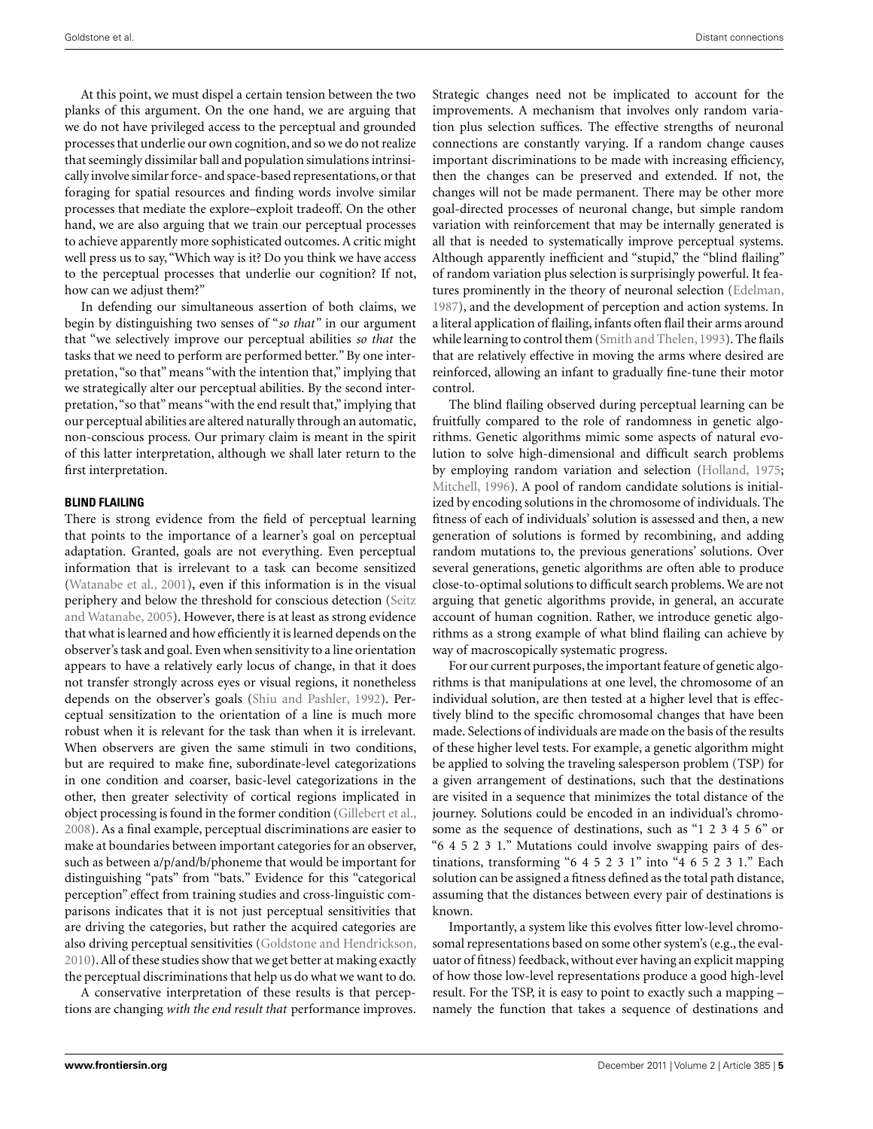At this point, we must dispel a certain tension between the two planks of this argument. On the one hand, we are arguing that we do not have privileged access to the perceptual and grounded processes that underlie our own cognition, and so we do not realize that seemingly dissimilar ball and population simulations intrinsically involve similar force- and space-based representations, or that foraging for spatial resources and finding words involve similar processes that mediate the explore–exploit tradeoff. On the other hand, we are also arguing that we train our perceptual processes to achieve apparently more sophisticated outcomes. A critic might well press us to say, "Which way is it? Do you think we have access to the perceptual processes that underlie our cognition? If not, how can we adjust them?"

In defending our simultaneous assertion of both claims, we begin by distinguishing two senses of "*so that* " in our argument that "we selectively improve our perceptual abilities *so that* the tasks that we need to perform are performed better." By one interpretation, "so that" means "with the intention that," implying that we strategically alter our perceptual abilities. By the second interpretation,"so that" means "with the end result that," implying that our perceptual abilities are altered naturally through an automatic, non-conscious process. Our primary claim is meant in the spirit of this latter interpretation, although we shall later return to the first interpretation.

#### **BLIND FLAILING**

There is strong evidence from the field of perceptual learning that points to the importance of a learner's goal on perceptual adaptation. Granted, goals are not everything. Even perceptual information that is irrelevant to a task can become sensitized [\(Watanabe et al., 2001](#page-9-0)), even if this information is in the visual periphery an[d below the threshold for conscious detection \(](#page-9-0)Seitz and Watanabe, [2005](#page-9-0)). However, there is at least as strong evidence that what is learned and how efficiently it is learned depends on the observer's task and goal. Even when sensitivity to a line orientation appears to have a relatively early locus of change, in that it does not transfer strongly across eyes or visual regions, it nonetheless depends on the observer's goals [\(Shiu and Pashler](#page-9-0), [1992\)](#page-9-0). Perceptual sensitization to the orientation of a line is much more robust when it is relevant for the task than when it is irrelevant. When observers are given the same stimuli in two conditions, but are required to make fine, subordinate-level categorizations in one condition and coarser, basic-level categorizations in the other, then greater selectivity of cortical regions implicated in object processing is found in the former condition [\(Gillebert et al.,](#page-8-0) [2008\)](#page-8-0). As a final example, perceptual discriminations are easier to make at boundaries between important categories for an observer, such as between a/p/and/b/phoneme that would be important for distinguishing "pats" from "bats." Evidence for this "categorical perception" effect from training studies and cross-linguistic comparisons indicates that it is not just perceptual sensitivities that are driving the categories, but rather the acquired categories are also driving perceptual sensitivities [\(Goldstone and Hendrickson,](#page-8-0) [2010\)](#page-8-0). All of these studies show that we get better at making exactly the perceptual discriminations that help us do what we want to do.

A conservative interpretation of these results is that perceptions are changing *with the end result that* performance improves. Strategic changes need not be implicated to account for the improvements. A mechanism that involves only random variation plus selection suffices. The effective strengths of neuronal connections are constantly varying. If a random change causes important discriminations to be made with increasing efficiency, then the changes can be preserved and extended. If not, the changes will not be made permanent. There may be other more goal-directed processes of neuronal change, but simple random variation with reinforcement that may be internally generated is all that is needed to systematically improve perceptual systems. Although apparently inefficient and "stupid," the "blind flailing" of random variation plus selection is surprisingly powerful. It features prominently in the theory of neuronal selection [\(Edelman,](#page-8-0) [1987\)](#page-8-0), and the development of perception and action systems. In a literal application of flailing, infants often flail their arms around while learning to control them [\(Smith and Thelen](#page-9-0), [1993\)](#page-9-0). The flails that are relatively effective in moving the arms where desired are reinforced, allowing an infant to gradually fine-tune their motor control.

The blind flailing observed during perceptual learning can be fruitfully compared to the role of randomness in genetic algorithms. Genetic algorithms mimic some aspects of natural evolution to solve high-dimensional and difficult search problems by employing random variation and selection [\(Holland, 1975;](#page-9-0) [Mitchell, 1996\)](#page-9-0). A pool of random candidate solutions is initialized by encoding solutions in the chromosome of individuals. The fitness of each of individuals' solution is assessed and then, a new generation of solutions is formed by recombining, and adding random mutations to, the previous generations' solutions. Over several generations, genetic algorithms are often able to produce close-to-optimal solutions to difficult search problems. We are not arguing that genetic algorithms provide, in general, an accurate account of human cognition. Rather, we introduce genetic algorithms as a strong example of what blind flailing can achieve by way of macroscopically systematic progress.

For our current purposes, the important feature of genetic algorithms is that manipulations at one level, the chromosome of an individual solution, are then tested at a higher level that is effectively blind to the specific chromosomal changes that have been made. Selections of individuals are made on the basis of the results of these higher level tests. For example, a genetic algorithm might be applied to solving the traveling salesperson problem (TSP) for a given arrangement of destinations, such that the destinations are visited in a sequence that minimizes the total distance of the journey. Solutions could be encoded in an individual's chromosome as the sequence of destinations, such as "1 2 3 4 5 6" or "6 4 5 2 3 1." Mutations could involve swapping pairs of destinations, transforming "6 4 5 2 3 1" into "4 6 5 2 3 1." Each solution can be assigned a fitness defined as the total path distance, assuming that the distances between every pair of destinations is known.

Importantly, a system like this evolves fitter low-level chromosomal representations based on some other system's (e.g., the evaluator of fitness) feedback,without ever having an explicit mapping of how those low-level representations produce a good high-level result. For the TSP, it is easy to point to exactly such a mapping – namely the function that takes a sequence of destinations and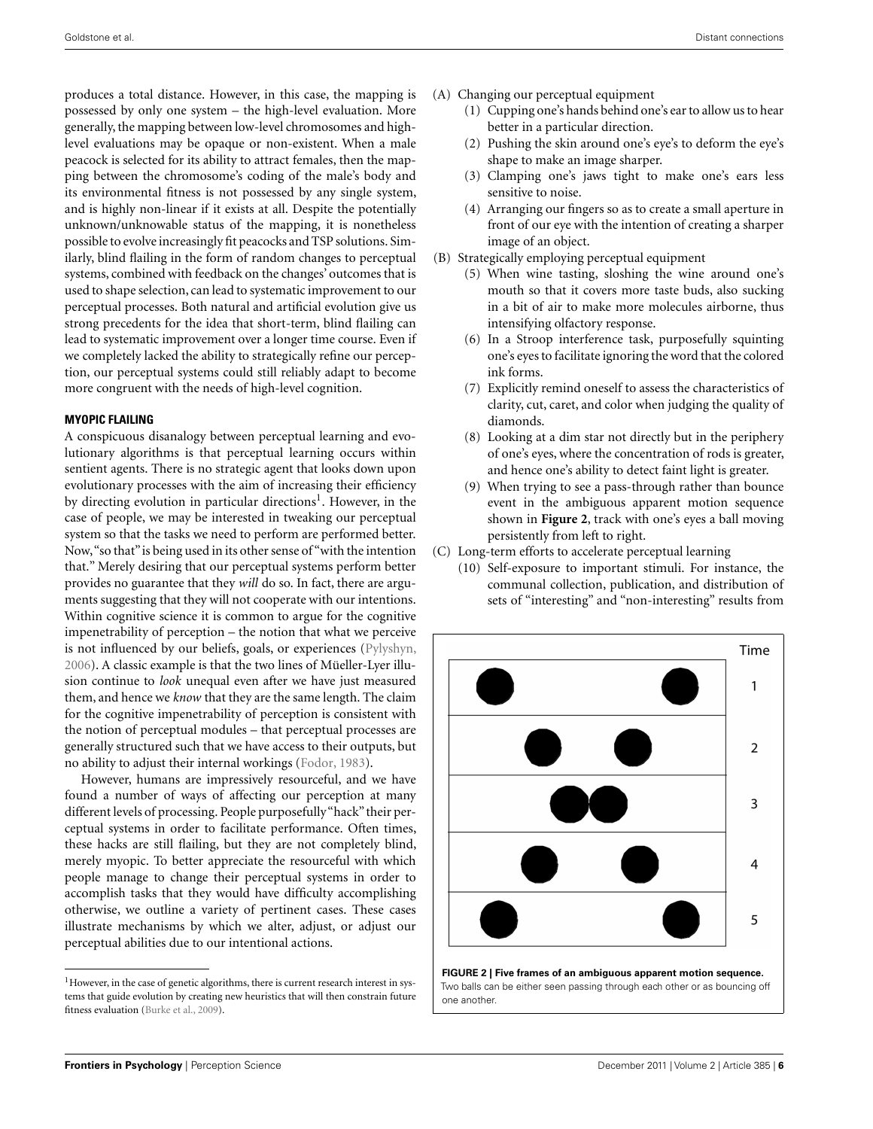produces a total distance. However, in this case, the mapping is possessed by only one system – the high-level evaluation. More generally, the mapping between low-level chromosomes and highlevel evaluations may be opaque or non-existent. When a male peacock is selected for its ability to attract females, then the mapping between the chromosome's coding of the male's body and its environmental fitness is not possessed by any single system, and is highly non-linear if it exists at all. Despite the potentially unknown/unknowable status of the mapping, it is nonetheless possible to evolve increasingly fit peacocks and TSP solutions. Similarly, blind flailing in the form of random changes to perceptual systems, combined with feedback on the changes' outcomes that is used to shape selection, can lead to systematic improvement to our perceptual processes. Both natural and artificial evolution give us strong precedents for the idea that short-term, blind flailing can lead to systematic improvement over a longer time course. Even if we completely lacked the ability to strategically refine our perception, our perceptual systems could still reliably adapt to become more congruent with the needs of high-level cognition.

### **MYOPIC FLAILING**

A conspicuous disanalogy between perceptual learning and evolutionary algorithms is that perceptual learning occurs within sentient agents. There is no strategic agent that looks down upon evolutionary processes with the aim of increasing their efficiency by directing evolution in particular directions<sup>1</sup>. However, in the case of people, we may be interested in tweaking our perceptual system so that the tasks we need to perform are performed better. Now,"so that"is being used in its other sense of "with the intention that." Merely desiring that our perceptual systems perform better provides no guarantee that they *will* do so. In fact, there are arguments suggesting that they will not cooperate with our intentions. Within cognitive science it is common to argue for the cognitive impenetrability of perception – the notion that what we perceive is not influenced by our beliefs, goals, or experiences [\(Pylyshyn,](#page-9-0) [2006\)](#page-9-0). A classic example is that the two lines of Müeller-Lyer illusion continue to *look* unequal even after we have just measured them, and hence we *know* that they are the same length. The claim for the cognitive impenetrability of perception is consistent with the notion of perceptual modules – that perceptual processes are generally structured such that we have access to their outputs, but no ability to adjust their internal workings [\(Fodor, 1983](#page-8-0)).

However, humans are impressively resourceful, and we have found a number of ways of affecting our perception at many different levels of processing. People purposefully"hack" their perceptual systems in order to facilitate performance. Often times, these hacks are still flailing, but they are not completely blind, merely myopic. To better appreciate the resourceful with which people manage to change their perceptual systems in order to accomplish tasks that they would have difficulty accomplishing otherwise, we outline a variety of pertinent cases. These cases illustrate mechanisms by which we alter, adjust, or adjust our perceptual abilities due to our intentional actions.

- (A) Changing our perceptual equipment
	- (1) Cupping one's hands behind one's ear to allow us to hear better in a particular direction.
	- (2) Pushing the skin around one's eye's to deform the eye's shape to make an image sharper.
	- (3) Clamping one's jaws tight to make one's ears less sensitive to noise.
	- (4) Arranging our fingers so as to create a small aperture in front of our eye with the intention of creating a sharper image of an object.
- (B) Strategically employing perceptual equipment
	- (5) When wine tasting, sloshing the wine around one's mouth so that it covers more taste buds, also sucking in a bit of air to make more molecules airborne, thus intensifying olfactory response.
	- (6) In a Stroop interference task, purposefully squinting one's eyes to facilitate ignoring the word that the colored ink forms.
	- (7) Explicitly remind oneself to assess the characteristics of clarity, cut, caret, and color when judging the quality of diamonds.
	- (8) Looking at a dim star not directly but in the periphery of one's eyes, where the concentration of rods is greater, and hence one's ability to detect faint light is greater.
	- (9) When trying to see a pass-through rather than bounce event in the ambiguous apparent motion sequence shown in **Figure 2**, track with one's eyes a ball moving persistently from left to right.
- (C) Long-term efforts to accelerate perceptual learning
	- (10) Self-exposure to important stimuli. For instance, the communal collection, publication, and distribution of sets of "interesting" and "non-interesting" results from



<sup>&</sup>lt;sup>1</sup>However, in the case of genetic algorithms, there is current research interest in systems that guide evolution by creating new heuristics that will then constrain future fitness evaluation [\(Burke et al.](#page-8-0), [2009](#page-8-0)).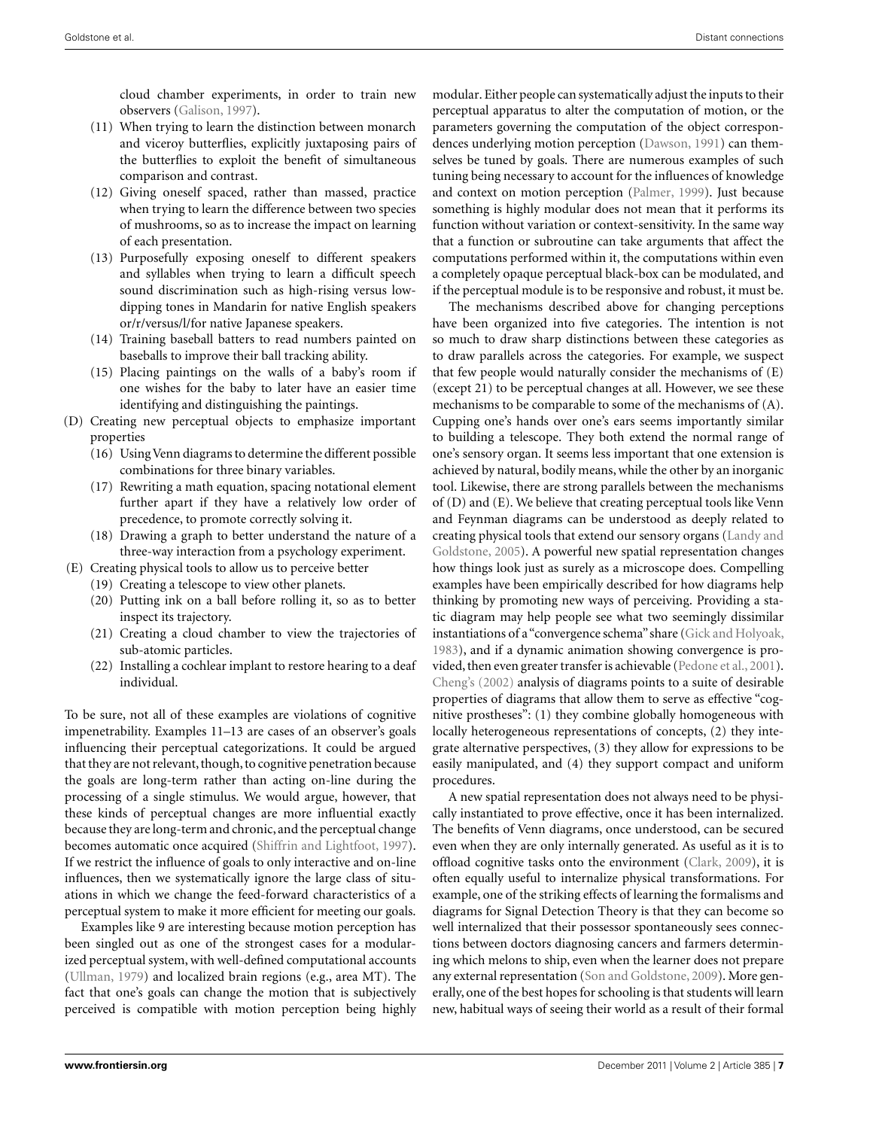cloud chamber experiments, in order to train new observers [\(Galison](#page-8-0), [1997\)](#page-8-0).

- (11) When trying to learn the distinction between monarch and viceroy butterflies, explicitly juxtaposing pairs of the butterflies to exploit the benefit of simultaneous comparison and contrast.
- (12) Giving oneself spaced, rather than massed, practice when trying to learn the difference between two species of mushrooms, so as to increase the impact on learning of each presentation.
- (13) Purposefully exposing oneself to different speakers and syllables when trying to learn a difficult speech sound discrimination such as high-rising versus lowdipping tones in Mandarin for native English speakers or/r/versus/l/for native Japanese speakers.
- (14) Training baseball batters to read numbers painted on baseballs to improve their ball tracking ability.
- (15) Placing paintings on the walls of a baby's room if one wishes for the baby to later have an easier time identifying and distinguishing the paintings.
- (D) Creating new perceptual objects to emphasize important properties
	- (16) UsingVenn diagrams to determine the different possible combinations for three binary variables.
	- (17) Rewriting a math equation, spacing notational element further apart if they have a relatively low order of precedence, to promote correctly solving it.
	- (18) Drawing a graph to better understand the nature of a three-way interaction from a psychology experiment.
- (E) Creating physical tools to allow us to perceive better
	- (19) Creating a telescope to view other planets.
	- (20) Putting ink on a ball before rolling it, so as to better inspect its trajectory.
	- (21) Creating a cloud chamber to view the trajectories of sub-atomic particles.
	- (22) Installing a cochlear implant to restore hearing to a deaf individual.

To be sure, not all of these examples are violations of cognitive impenetrability. Examples 11–13 are cases of an observer's goals influencing their perceptual categorizations. It could be argued that they are not relevant, though, to cognitive penetration because the goals are long-term rather than acting on-line during the processing of a single stimulus. We would argue, however, that these kinds of perceptual changes are more influential exactly because they are long-term and chronic, and the perceptual change becomes automatic once acquired [\(Shiffrin and Lightfoot, 1997](#page-9-0)). If we restrict the influence of goals to only interactive and on-line influences, then we systematically ignore the large class of situations in which we change the feed-forward characteristics of a perceptual system to make it more efficient for meeting our goals.

Examples like 9 are interesting because motion perception has been singled out as one of the strongest cases for a modularized perceptual system, with well-defined computational accounts [\(Ullman, 1979\)](#page-9-0) and localized brain regions (e.g., area MT). The fact that one's goals can change the motion that is subjectively perceived is compatible with motion perception being highly modular. Either people can systematically adjust the inputs to their perceptual apparatus to alter the computation of motion, or the parameters governing the computation of the object correspondences underlying motion perception [\(Dawson, 1991](#page-8-0)) can themselves be tuned by goals. There are numerous examples of such tuning being necessary to account for the influences of knowledge and context on motion perception [\(Palmer, 1999](#page-9-0)). Just because something is highly modular does not mean that it performs its function without variation or context-sensitivity. In the same way that a function or subroutine can take arguments that affect the computations performed within it, the computations within even a completely opaque perceptual black-box can be modulated, and if the perceptual module is to be responsive and robust, it must be.

The mechanisms described above for changing perceptions have been organized into five categories. The intention is not so much to draw sharp distinctions between these categories as to draw parallels across the categories. For example, we suspect that few people would naturally consider the mechanisms of (E) (except 21) to be perceptual changes at all. However, we see these mechanisms to be comparable to some of the mechanisms of (A). Cupping one's hands over one's ears seems importantly similar to building a telescope. They both extend the normal range of one's sensory organ. It seems less important that one extension is achieved by natural, bodily means, while the other by an inorganic tool. Likewise, there are strong parallels between the mechanisms of (D) and (E). We believe that creating perceptual tools like Venn and Feynman diagrams can be understood as deeply related to creating p[hysical](#page-9-0) [tools](#page-9-0) [that](#page-9-0) [extend](#page-9-0) [our](#page-9-0) [sensory](#page-9-0) [organs](#page-9-0) [\(](#page-9-0)Landy and Goldstone, [2005](#page-9-0)). A powerful new spatial representation changes how things look just as surely as a microscope does. Compelling examples have been empirically described for how diagrams help thinking by promoting new ways of perceiving. Providing a static diagram may help people see what two seemingly dissimilar instantiations of a"convergence schema" share [\(Gick and Holyoak,](#page-8-0) [1983\)](#page-8-0), and if a dynamic animation showing convergence is provided, then even greater transfer is achievable [\(Pedone et al.](#page-9-0), [2001](#page-9-0)). [Cheng's](#page-9-0) [\(2002](#page-9-0)) analysis of diagrams points to a suite of desirable properties of diagrams that allow them to serve as effective "cognitive prostheses": (1) they combine globally homogeneous with locally heterogeneous representations of concepts, (2) they integrate alternative perspectives, (3) they allow for expressions to be easily manipulated, and (4) they support compact and uniform procedures.

A new spatial representation does not always need to be physically instantiated to prove effective, once it has been internalized. The benefits of Venn diagrams, once understood, can be secured even when they are only internally generated. As useful as it is to offload cognitive tasks onto the environment [\(Clark](#page-8-0), [2009](#page-8-0)), it is often equally useful to internalize physical transformations. For example, one of the striking effects of learning the formalisms and diagrams for Signal Detection Theory is that they can become so well internalized that their possessor spontaneously sees connections between doctors diagnosing cancers and farmers determining which melons to ship, even when the learner does not prepare any external representation [\(Son and Goldstone, 2009](#page-9-0)). More generally, one of the best hopes for schooling is that students will learn new, habitual ways of seeing their world as a result of their formal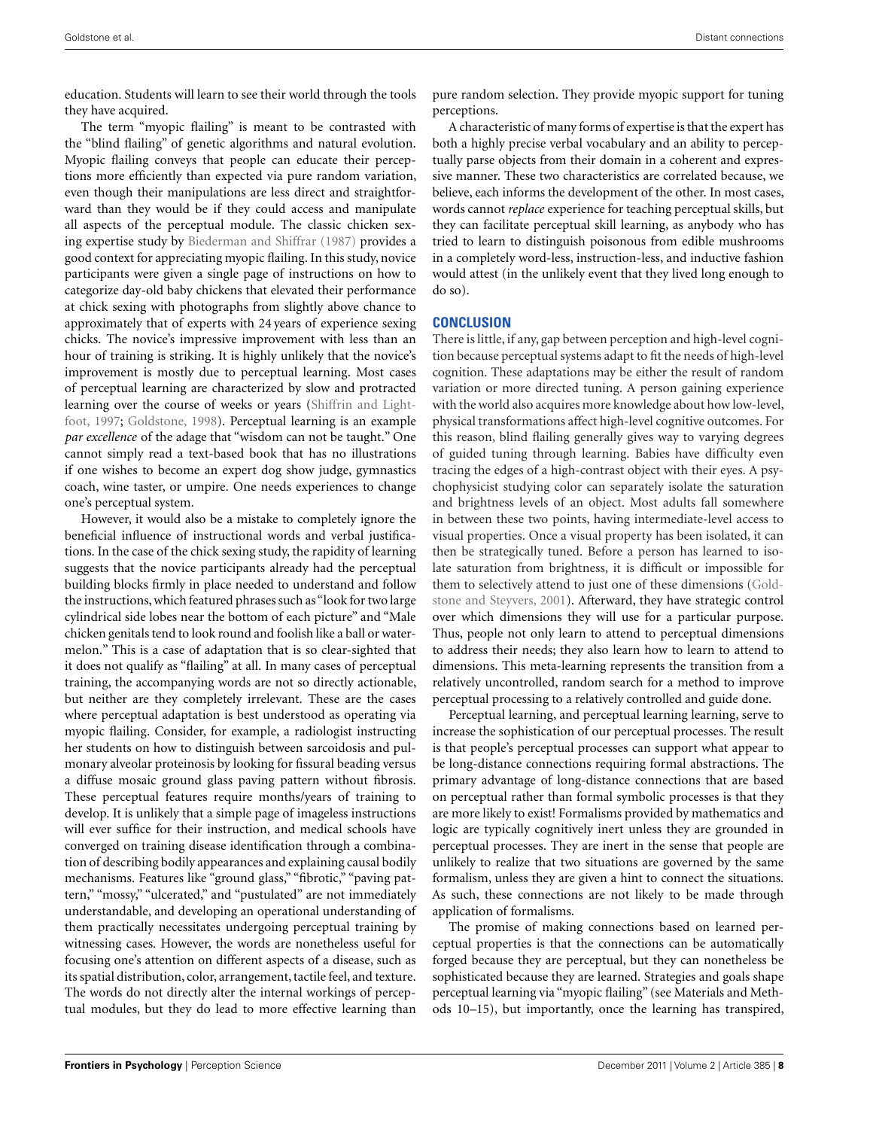education. Students will learn to see their world through the tools they have acquired.

The term "myopic flailing" is meant to be contrasted with the "blind flailing" of genetic algorithms and natural evolution. Myopic flailing conveys that people can educate their perceptions more efficiently than expected via pure random variation, even though their manipulations are less direct and straightforward than they would be if they could access and manipulate all aspects of the perceptual module. The classic chicken sexing expertise study by [Biederman and Shiffrar](#page-8-0) [\(1987](#page-8-0)) provides a good context for appreciating myopic flailing. In this study, novice participants were given a single page of instructions on how to categorize day-old baby chickens that elevated their performance at chick sexing with photographs from slightly above chance to approximately that of experts with 24 years of experience sexing chicks. The novice's impressive improvement with less than an hour of training is striking. It is highly unlikely that the novice's improvement is mostly due to perceptual learning. Most cases of perceptual learning are characterized by slow and protracted lear[ning over the course of weeks or years \(](#page-9-0)Shiffrin and Lightfoot, [1997](#page-9-0); [Goldstone, 1998](#page-8-0)). Perceptual learning is an example *par excellence* of the adage that "wisdom can not be taught." One cannot simply read a text-based book that has no illustrations if one wishes to become an expert dog show judge, gymnastics coach, wine taster, or umpire. One needs experiences to change one's perceptual system.

However, it would also be a mistake to completely ignore the beneficial influence of instructional words and verbal justifications. In the case of the chick sexing study, the rapidity of learning suggests that the novice participants already had the perceptual building blocks firmly in place needed to understand and follow the instructions, which featured phrases such as"look for two large cylindrical side lobes near the bottom of each picture" and "Male chicken genitals tend to look round and foolish like a ball or watermelon." This is a case of adaptation that is so clear-sighted that it does not qualify as "flailing" at all. In many cases of perceptual training, the accompanying words are not so directly actionable, but neither are they completely irrelevant. These are the cases where perceptual adaptation is best understood as operating via myopic flailing. Consider, for example, a radiologist instructing her students on how to distinguish between sarcoidosis and pulmonary alveolar proteinosis by looking for fissural beading versus a diffuse mosaic ground glass paving pattern without fibrosis. These perceptual features require months/years of training to develop. It is unlikely that a simple page of imageless instructions will ever suffice for their instruction, and medical schools have converged on training disease identification through a combination of describing bodily appearances and explaining causal bodily mechanisms. Features like "ground glass," "fibrotic," "paving pattern," "mossy," "ulcerated," and "pustulated" are not immediately understandable, and developing an operational understanding of them practically necessitates undergoing perceptual training by witnessing cases. However, the words are nonetheless useful for focusing one's attention on different aspects of a disease, such as its spatial distribution, color, arrangement, tactile feel, and texture. The words do not directly alter the internal workings of perceptual modules, but they do lead to more effective learning than

pure random selection. They provide myopic support for tuning perceptions.

A characteristic of many forms of expertise is that the expert has both a highly precise verbal vocabulary and an ability to perceptually parse objects from their domain in a coherent and expressive manner. These two characteristics are correlated because, we believe, each informs the development of the other. In most cases, words cannot *replace* experience for teaching perceptual skills, but they can facilitate perceptual skill learning, as anybody who has tried to learn to distinguish poisonous from edible mushrooms in a completely word-less, instruction-less, and inductive fashion would attest (in the unlikely event that they lived long enough to do so).

## **CONCLUSION**

There is little, if any, gap between perception and high-level cognition because perceptual systems adapt to fit the needs of high-level cognition. These adaptations may be either the result of random variation or more directed tuning. A person gaining experience with the world also acquires more knowledge about how low-level, physical transformations affect high-level cognitive outcomes. For this reason, blind flailing generally gives way to varying degrees of guided tuning through learning. Babies have difficulty even tracing the edges of a high-contrast object with their eyes. A psychophysicist studying color can separately isolate the saturation and brightness levels of an object. Most adults fall somewhere in between these two points, having intermediate-level access to visual properties. Once a visual property has been isolated, it can then be strategically tuned. Before a person has learned to isolate saturation from brightness, it is difficult or impossible for them to selectively [attend to just one of these dimensions \(](#page-8-0)Goldstone and Steyvers, [2001](#page-8-0)). Afterward, they have strategic control over which dimensions they will use for a particular purpose. Thus, people not only learn to attend to perceptual dimensions to address their needs; they also learn how to learn to attend to dimensions. This meta-learning represents the transition from a relatively uncontrolled, random search for a method to improve perceptual processing to a relatively controlled and guide done.

Perceptual learning, and perceptual learning learning, serve to increase the sophistication of our perceptual processes. The result is that people's perceptual processes can support what appear to be long-distance connections requiring formal abstractions. The primary advantage of long-distance connections that are based on perceptual rather than formal symbolic processes is that they are more likely to exist! Formalisms provided by mathematics and logic are typically cognitively inert unless they are grounded in perceptual processes. They are inert in the sense that people are unlikely to realize that two situations are governed by the same formalism, unless they are given a hint to connect the situations. As such, these connections are not likely to be made through application of formalisms.

The promise of making connections based on learned perceptual properties is that the connections can be automatically forged because they are perceptual, but they can nonetheless be sophisticated because they are learned. Strategies and goals shape perceptual learning via "myopic flailing" (see Materials and Methods 10–15), but importantly, once the learning has transpired,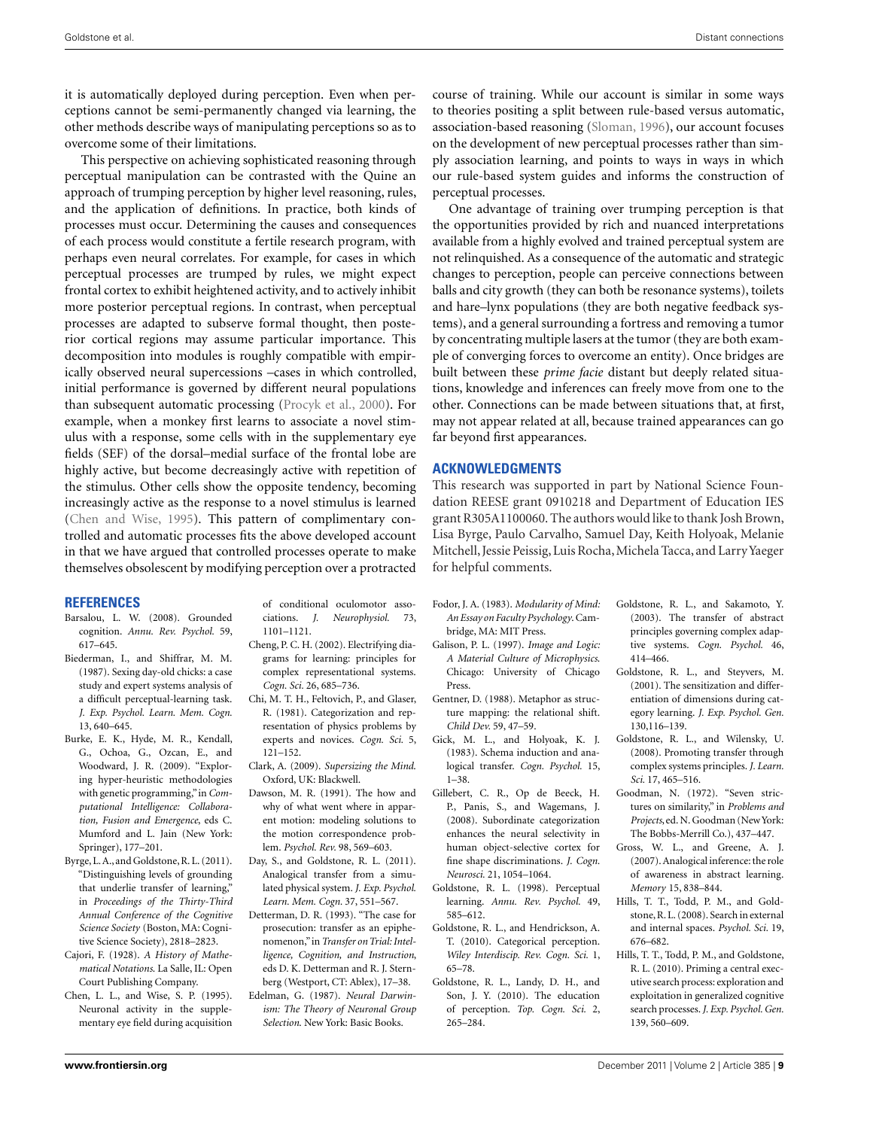<span id="page-8-0"></span>it is automatically deployed during perception. Even when perceptions cannot be semi-permanently changed via learning, the other methods describe ways of manipulating perceptions so as to overcome some of their limitations.

This perspective on achieving sophisticated reasoning through perceptual manipulation can be contrasted with the Quine an approach of trumping perception by higher level reasoning, rules, and the application of definitions. In practice, both kinds of processes must occur. Determining the causes and consequences of each process would constitute a fertile research program, with perhaps even neural correlates. For example, for cases in which perceptual processes are trumped by rules, we might expect frontal cortex to exhibit heightened activity, and to actively inhibit more posterior perceptual regions. In contrast, when perceptual processes are adapted to subserve formal thought, then posterior cortical regions may assume particular importance. This decomposition into modules is roughly compatible with empirically observed neural supercessions –cases in which controlled, initial performance is governed by different neural populations than subsequent automatic processing [\(Procyk et al., 2000](#page-9-0)). For example, when a monkey first learns to associate a novel stimulus with a response, some cells with in the supplementary eye fields (SEF) of the dorsal–medial surface of the frontal lobe are highly active, but become decreasingly active with repetition of the stimulus. Other cells show the opposite tendency, becoming increasingly active as the response to a novel stimulus is learned (Chen and Wise, 1995). This pattern of complimentary controlled and automatic processes fits the above developed account in that we have argued that controlled processes operate to make themselves obsolescent by modifying perception over a protracted

#### **REFERENCES**

- Barsalou, L. W. (2008). Grounded cognition. *Annu. Rev. Psychol.* 59, 617–645.
- Biederman, I., and Shiffrar, M. M. (1987). Sexing day-old chicks: a case study and expert systems analysis of a difficult perceptual-learning task. *J. Exp. Psychol. Learn. Mem. Cogn.* 13, 640–645.
- Burke, E. K., Hyde, M. R., Kendall, G., Ochoa, G., Ozcan, E., and Woodward, J. R. (2009). "Exploring hyper-heuristic methodologies with genetic programming,"in*Computational Intelligence: Collaboration, Fusion and Emergence*, eds C. Mumford and L. Jain (New York: Springer), 177–201.
- Byrge, L.A., and Goldstone, R.L. (2011). "Distinguishing levels of grounding that underlie transfer of learning," in *Proceedings of the Thirty-Third Annual Conference of the Cognitive Science Society* (Boston, MA: Cognitive Science Society), 2818–2823.
- Cajori, F. (1928). *A History of Mathematical Notations*. La Salle, IL: Open Court Publishing Company.
- Chen, L. L., and Wise, S. P. (1995). Neuronal activity in the supplementary eye field during acquisition

of conditional oculomotor associations. *J. Neurophysiol.* 73, 1101–1121.

- Cheng, P. C. H. (2002). Electrifying diagrams for learning: principles for complex representational systems. *Cogn. Sci.* 26, 685–736.
- Chi, M. T. H., Feltovich, P., and Glaser, R. (1981). Categorization and representation of physics problems by experts and novices. *Cogn. Sci.* 5, 121–152.
- Clark, A. (2009). *Supersizing the Mind*. Oxford, UK: Blackwell.
- Dawson, M. R. (1991). The how and why of what went where in apparent motion: modeling solutions to the motion correspondence problem. *Psychol. Rev.* 98, 569–603.
- Day, S., and Goldstone, R. L. (2011). Analogical transfer from a simulated physical system. *J. Exp. Psychol. Learn. Mem. Cogn.* 37, 551–567.
- Detterman, D. R. (1993). "The case for prosecution: transfer as an epiphenomenon,"in*Transfer on Trial: Intelligence, Cognition, and Instruction*, eds D. K. Detterman and R. J. Sternberg (Westport, CT: Ablex), 17–38.
- Edelman, G. (1987). *Neural Darwinism: The Theory of Neuronal Group Selection*. New York: Basic Books.

course of training. While our account is similar in some ways to theories positing a split between rule-based versus automatic, association-based reasoning [\(Sloman, 1996](#page-9-0)), our account focuses on the development of new perceptual processes rather than simply association learning, and points to ways in ways in which our rule-based system guides and informs the construction of perceptual processes.

One advantage of training over trumping perception is that the opportunities provided by rich and nuanced interpretations available from a highly evolved and trained perceptual system are not relinquished. As a consequence of the automatic and strategic changes to perception, people can perceive connections between balls and city growth (they can both be resonance systems), toilets and hare–lynx populations (they are both negative feedback systems), and a general surrounding a fortress and removing a tumor by concentrating multiple lasers at the tumor (they are both example of converging forces to overcome an entity). Once bridges are built between these *prime facie* distant but deeply related situations, knowledge and inferences can freely move from one to the other. Connections can be made between situations that, at first, may not appear related at all, because trained appearances can go far beyond first appearances.

## **ACKNOWLEDGMENTS**

This research was supported in part by National Science Foundation REESE grant 0910218 and Department of Education IES grant R305A1100060. The authors would like to thank Josh Brown, Lisa Byrge, Paulo Carvalho, Samuel Day, Keith Holyoak, Melanie Mitchell, Jessie Peissig, Luis Rocha,Michela Tacca, and LarryYaeger for helpful comments.

- Fodor, J. A. (1983). *Modularity of Mind: An Essay on Faculty Psychology*. Cambridge, MA: MIT Press.
- Galison, P. L. (1997). *Image and Logic: A Material Culture of Microphysics*. Chicago: University of Chicago Press.
- Gentner, D. (1988). Metaphor as structure mapping: the relational shift. *Child Dev.* 59, 47–59.
- Gick, M. L., and Holyoak, K. J. (1983). Schema induction and analogical transfer. *Cogn. Psychol.* 15, 1–38.
- Gillebert, C. R., Op de Beeck, H. P., Panis, S., and Wagemans, J. (2008). Subordinate categorization enhances the neural selectivity in human object-selective cortex for fine shape discriminations. *J. Cogn. Neurosci.* 21, 1054–1064.
- Goldstone, R. L. (1998). Perceptual learning. *Annu. Rev. Psychol.* 49, 585–612.
- Goldstone, R. L., and Hendrickson, A. T. (2010). Categorical perception. *Wiley Interdiscip. Rev. Cogn. Sci.* 1, 65–78.
- Goldstone, R. L., Landy, D. H., and Son, J. Y. (2010). The education of perception. *Top. Cogn. Sci.* 2, 265–284.
- Goldstone, R. L., and Sakamoto, Y. (2003). The transfer of abstract principles governing complex adaptive systems. *Cogn. Psychol.* 46, 414–466.
- Goldstone, R. L., and Steyvers, M. (2001). The sensitization and differentiation of dimensions during category learning. *J. Exp. Psychol. Gen.* 130,116–139.
- Goldstone, R. L., and Wilensky, U. (2008). Promoting transfer through complex systems principles. *J. Learn. Sci.* 17, 465–516.
- Goodman, N. (1972). "Seven strictures on similarity," in *Problems and Projects*, ed. N. Goodman (NewYork: The Bobbs-Merrill Co.), 437–447.
- Gross, W. L., and Greene, A. J. (2007).Analogical inference: the role of awareness in abstract learning. *Memory* 15, 838–844.
- Hills, T. T., Todd, P. M., and Goldstone,R. L. (2008). Search in external and internal spaces. *Psychol. Sci.* 19, 676–682.
- Hills, T. T., Todd, P. M., and Goldstone, R. L. (2010). Priming a central executive search process: exploration and exploitation in generalized cognitive search processes.*J. Exp. Psychol. Gen.* 139, 560–609.